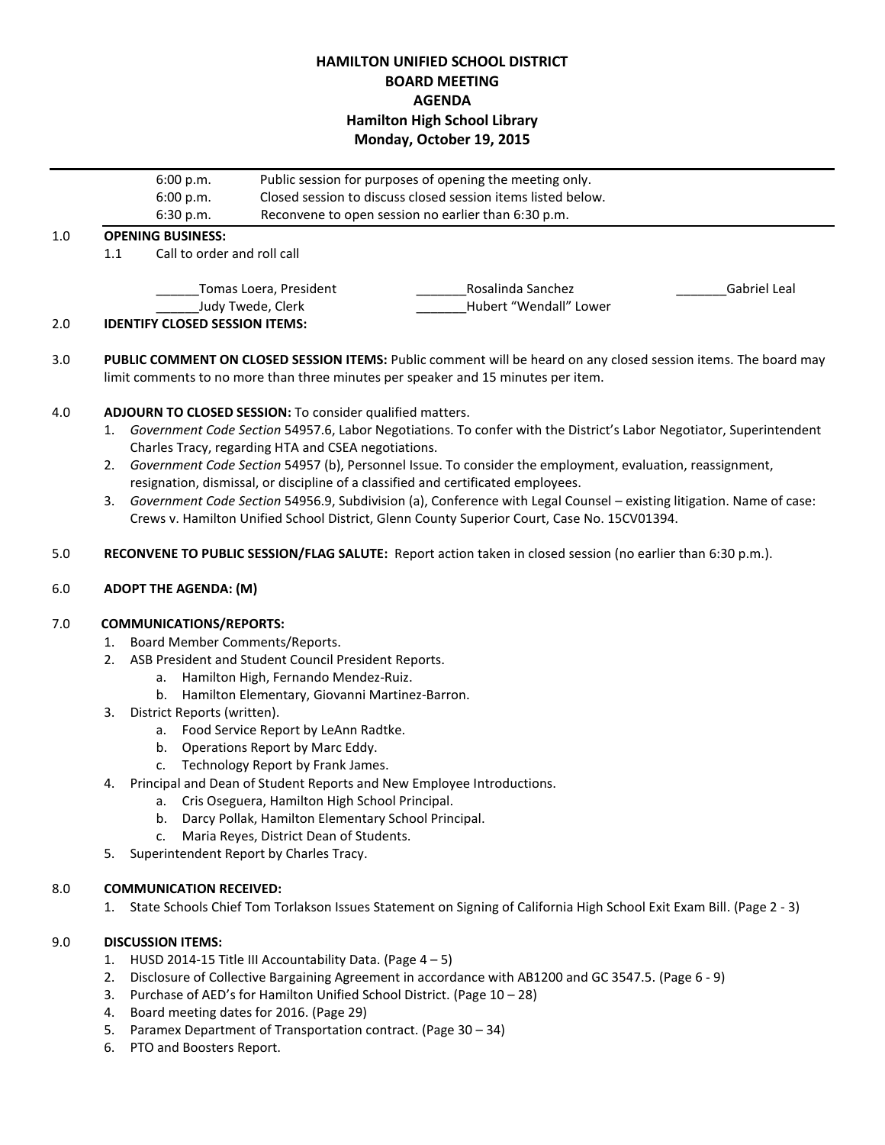# **HAMILTON UNIFIED SCHOOL DISTRICT BOARD MEETING AGENDA Hamilton High School Library Monday, October 19, 2015**

|     |                                             | 6:00 p.m.                             | Public session for purposes of opening the meeting only.<br>Closed session to discuss closed session items listed below. |                                             |              |  |  |  |
|-----|---------------------------------------------|---------------------------------------|--------------------------------------------------------------------------------------------------------------------------|---------------------------------------------|--------------|--|--|--|
|     |                                             | 6:00 p.m.                             |                                                                                                                          |                                             |              |  |  |  |
|     |                                             | 6:30 p.m.                             | Reconvene to open session no earlier than 6:30 p.m.                                                                      |                                             |              |  |  |  |
| 1.0 | <b>OPENING BUSINESS:</b>                    |                                       |                                                                                                                          |                                             |              |  |  |  |
|     | 1.1                                         | Call to order and roll call           |                                                                                                                          |                                             |              |  |  |  |
|     | Tomas Loera, President<br>Judy Twede, Clerk |                                       |                                                                                                                          | Rosalinda Sanchez<br>Hubert "Wendall" Lower | Gabriel Leal |  |  |  |
| 2.0 |                                             | <b>IDENTIFY CLOSED SESSION ITEMS:</b> |                                                                                                                          |                                             |              |  |  |  |

3.0 **PUBLIC COMMENT ON CLOSED SESSION ITEMS:** Public comment will be heard on any closed session items. The board may limit comments to no more than three minutes per speaker and 15 minutes per item.

### 4.0 **ADJOURN TO CLOSED SESSION:** To consider qualified matters.

- 1. *Government Code Section* 54957.6, Labor Negotiations. To confer with the District's Labor Negotiator, Superintendent Charles Tracy, regarding HTA and CSEA negotiations.
- 2. *Government Code Section* 54957 (b), Personnel Issue. To consider the employment, evaluation, reassignment, resignation, dismissal, or discipline of a classified and certificated employees.
- 3. *Government Code Section* 54956.9, Subdivision (a), Conference with Legal Counsel existing litigation. Name of case: Crews v. Hamilton Unified School District, Glenn County Superior Court, Case No. 15CV01394.
- 5.0 **RECONVENE TO PUBLIC SESSION/FLAG SALUTE:** Report action taken in closed session (no earlier than 6:30 p.m.).

#### 6.0 **ADOPT THE AGENDA: (M)**

#### 7.0 **COMMUNICATIONS/REPORTS:**

- 1. Board Member Comments/Reports.
- 2. ASB President and Student Council President Reports.
	- a. Hamilton High, Fernando Mendez-Ruiz.
	- b. Hamilton Elementary, Giovanni Martinez-Barron.
- 3. District Reports (written).
	- a. Food Service Report by LeAnn Radtke.
	- b. Operations Report by Marc Eddy.
	- c. Technology Report by Frank James.
- 4. Principal and Dean of Student Reports and New Employee Introductions.
	- a. Cris Oseguera, Hamilton High School Principal.
	- b. Darcy Pollak, Hamilton Elementary School Principal.
	- c. Maria Reyes, District Dean of Students.
- 5. Superintendent Report by Charles Tracy.

#### 8.0 **COMMUNICATION RECEIVED:**

1. State Schools Chief Tom Torlakson Issues Statement on Signing of California High School Exit Exam Bill. (Page 2 - 3)

### 9.0 **DISCUSSION ITEMS:**

- 1. HUSD 2014-15 Title III Accountability Data. (Page  $4-5$ )
- 2. Disclosure of Collective Bargaining Agreement in accordance with AB1200 and GC 3547.5. (Page 6 9)
- 3. Purchase of AED's for Hamilton Unified School District. (Page 10 28)
- 4. Board meeting dates for 2016. (Page 29)
- 5. Paramex Department of Transportation contract. (Page 30 34)
- 6. PTO and Boosters Report.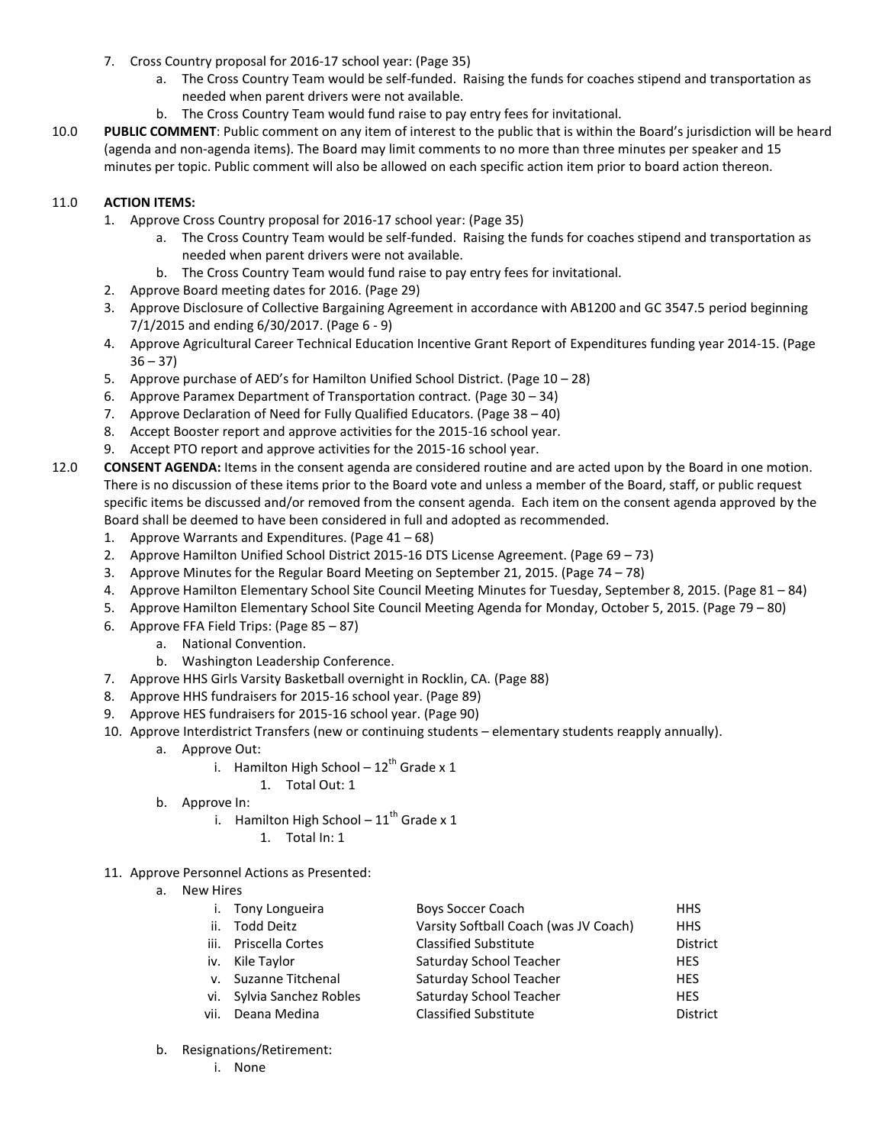- 7. Cross Country proposal for 2016-17 school year: (Page 35)
	- a. The Cross Country Team would be self-funded. Raising the funds for coaches stipend and transportation as needed when parent drivers were not available.
	- b. The Cross Country Team would fund raise to pay entry fees for invitational.
- 10.0 **PUBLIC COMMENT**: Public comment on any item of interest to the public that is within the Board's jurisdiction will be heard (agenda and non-agenda items). The Board may limit comments to no more than three minutes per speaker and 15 minutes per topic. Public comment will also be allowed on each specific action item prior to board action thereon.

## 11.0 **ACTION ITEMS:**

- 1. Approve Cross Country proposal for 2016-17 school year: (Page 35)
	- a. The Cross Country Team would be self-funded. Raising the funds for coaches stipend and transportation as needed when parent drivers were not available.
	- b. The Cross Country Team would fund raise to pay entry fees for invitational.
- 2. Approve Board meeting dates for 2016. (Page 29)
- 3. Approve Disclosure of Collective Bargaining Agreement in accordance with AB1200 and GC 3547.5 period beginning 7/1/2015 and ending 6/30/2017. (Page 6 - 9)
- 4. Approve Agricultural Career Technical Education Incentive Grant Report of Expenditures funding year 2014-15. (Page  $36 - 37$
- 5. Approve purchase of AED's for Hamilton Unified School District. (Page 10 28)
- 6. Approve Paramex Department of Transportation contract. (Page 30 34)
- 7. Approve Declaration of Need for Fully Qualified Educators. (Page 38 40)
- 8. Accept Booster report and approve activities for the 2015-16 school year.
- 9. Accept PTO report and approve activities for the 2015-16 school year.
- 12.0 **CONSENT AGENDA:** Items in the consent agenda are considered routine and are acted upon by the Board in one motion. There is no discussion of these items prior to the Board vote and unless a member of the Board, staff, or public request specific items be discussed and/or removed from the consent agenda. Each item on the consent agenda approved by the Board shall be deemed to have been considered in full and adopted as recommended.
	- 1. Approve Warrants and Expenditures. (Page 41 68)
	- 2. Approve Hamilton Unified School District 2015-16 DTS License Agreement. (Page 69 73)
	- 3. Approve Minutes for the Regular Board Meeting on September 21, 2015. (Page 74 78)
	- 4. Approve Hamilton Elementary School Site Council Meeting Minutes for Tuesday, September 8, 2015. (Page 81 84)
	- 5. Approve Hamilton Elementary School Site Council Meeting Agenda for Monday, October 5, 2015. (Page 79 80)
	- 6. Approve FFA Field Trips: (Page 85 87)
		- a. National Convention.
		- b. Washington Leadership Conference.
	- 7. Approve HHS Girls Varsity Basketball overnight in Rocklin, CA. (Page 88)
	- 8. Approve HHS fundraisers for 2015-16 school year. (Page 89)
	- 9. Approve HES fundraisers for 2015-16 school year. (Page 90)
	- 10. Approve Interdistrict Transfers (new or continuing students elementary students reapply annually).
		- a. Approve Out:
			- i. Hamilton High School  $-12^{th}$  Grade x 1
				- 1. Total Out: 1
		- b. Approve In:
			- i. Hamilton High School  $-11^{th}$  Grade x 1
				- 1. Total In: 1
	- 11. Approve Personnel Actions as Presented:

| a. | <b>New Hires</b> |                           |                                       |            |  |  |  |
|----|------------------|---------------------------|---------------------------------------|------------|--|--|--|
|    |                  | Tony Longueira            | <b>Boys Soccer Coach</b>              | <b>HHS</b> |  |  |  |
|    | ii.              | <b>Todd Deitz</b>         | Varsity Softball Coach (was JV Coach) | <b>HHS</b> |  |  |  |
|    | iii.             | Priscella Cortes          | <b>Classified Substitute</b>          | District   |  |  |  |
|    | iv.              | Kile Taylor               | Saturday School Teacher               | <b>HES</b> |  |  |  |
|    |                  | v. Suzanne Titchenal      | Saturday School Teacher               | <b>HES</b> |  |  |  |
|    |                  | vi. Sylvia Sanchez Robles | Saturday School Teacher               | <b>HES</b> |  |  |  |
|    | vii.             | Deana Medina              | <b>Classified Substitute</b>          | District   |  |  |  |
|    |                  |                           |                                       |            |  |  |  |

- b. Resignations/Retirement:
	- i. None